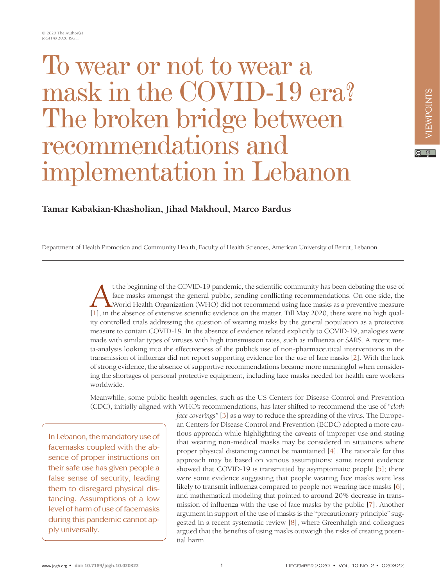## To wear or not to wear a mask in the COVID-19 era? The broken bridge between recommendations and implementation in Lebanon

## **Tamar Kabakian-Khasholian, Jihad Makhoul, Marco Bardus**

Department of Health Promotion and Community Health, Faculty of Health Sciences, American University of Beirut, Lebanon

t the beginning of the COVID-19 pandemic, the scientific community has been debating the use of face masks amongst the general public, sending conflicting recommendations. On one side, the World Health Organization (WHO) d face masks amongst the general public, sending conflicting recommendations. On one side, the World Health Organization (WHO) did not recommend using face masks as a preventive measure [\[1\]](#page-2-0), in the absence of extensive scientific evidence on the matter. Till May 2020, there were no high quality controlled trials addressing the question of wearing masks by the general population as a protective measure to contain COVID-19. In the absence of evidence related explicitly to COVID-19, analogies were made with similar types of viruses with high transmission rates, such as influenza or SARS. A recent meta-analysis looking into the effectiveness of the public's use of non-pharmaceutical interventions in the transmission of influenza did not report supporting evidence for the use of face masks [\[2](#page-2-1)]. With the lack of strong evidence, the absence of supportive recommendations became more meaningful when considering the shortages of personal protective equipment, including face masks needed for health care workers worldwide.

Meanwhile, some public health agencies, such as the US Centers for Disease Control and Prevention (CDC), initially aligned with WHO's recommendations, has later shifted to recommend the use of "*cloth* 

In Lebanon, the mandatory use of facemasks coupled with the absence of proper instructions on their safe use has given people a false sense of security, leading them to disregard physical distancing. Assumptions of a low level of harm of use of facemasks during this pandemic cannot apply universally.

*face coverings"* [[3](#page-2-2)] as a way to reduce the spreading of the virus. The European Centers for Disease Control and Prevention (ECDC) adopted a more cautious approach while highlighting the caveats of improper use and stating that wearing non-medical masks may be considered in situations where proper physical distancing cannot be maintained [[4\]](#page-2-3). The rationale for this approach may be based on various assumptions: some recent evidence showed that COVID-19 is transmitted by asymptomatic people [[5\]](#page-2-4); there were some evidence suggesting that people wearing face masks were less likely to transmit influenza compared to people not wearing face masks [[6](#page-2-5)]; and mathematical modeling that pointed to around 20% decrease in transmission of influenza with the use of face masks by the public [\[7\]](#page-2-6). Another argument in support of the use of masks is the "precautionary principle" suggested in a recent systematic review [[8\]](#page-2-7), where Greenhalgh and colleagues argued that the benefits of using masks outweigh the risks of creating potential harm.

 $\boxed{6}$  0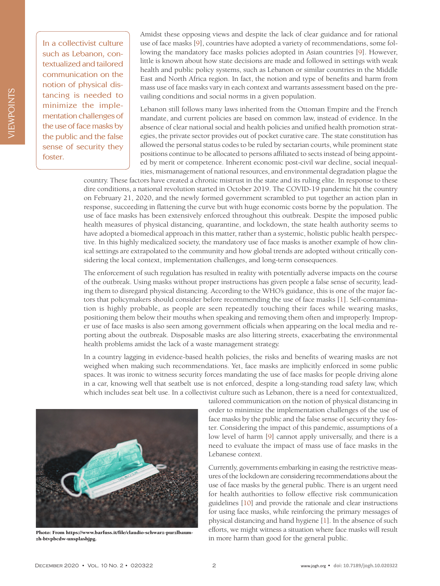In a collectivist culture such as Lebanon, contextualized and tailored communication on the notion of physical distancing is needed to minimize the implementation challenges of the use of face masks by the public and the false sense of security they foster.

Amidst these opposing views and despite the lack of clear guidance and for rational use of face masks [\[9\]](#page-2-8), countries have adopted a variety of recommendations, some following the mandatory face masks policies adopted in Asian countries [\[9](#page-2-8)]. However, little is known about how state decisions are made and followed in settings with weak health and public policy systems, such as Lebanon or similar countries in the Middle East and North Africa region. In fact, the notion and type of benefits and harm from mass use of face masks vary in each context and warrants assessment based on the prevailing conditions and social norms in a given population.

Lebanon still follows many laws inherited from the Ottoman Empire and the French mandate, and current policies are based on common law, instead of evidence. In the absence of clear national social and health policies and unified health promotion strategies, the private sector provides out of pocket curative care. The state constitution has allowed the personal status codes to be ruled by sectarian courts, while prominent state positions continue to be allocated to persons affiliated to sects instead of being appointed by merit or competence. Inherent economic post-civil war decline, social inequalities, mismanagement of national resources, and environmental degradation plague the

country. These factors have created a chronic mistrust in the state and its ruling elite. In response to these dire conditions, a national revolution started in October 2019. The COVID-19 pandemic hit the country on February 21, 2020, and the newly formed government scrambled to put together an action plan in response, succeeding in flattening the curve but with huge economic costs borne by the population. The use of face masks has been extensively enforced throughout this outbreak. Despite the imposed public health measures of physical distancing, quarantine, and lockdown, the state health authority seems to have adopted a biomedical approach in this matter, rather than a systemic, holistic public health perspective. In this highly medicalized society, the mandatory use of face masks is another example of how clinical settings are extrapolated to the community and how global trends are adopted without critically considering the local context, implementation challenges, and long-term consequences.

The enforcement of such regulation has resulted in reality with potentially adverse impacts on the course of the outbreak. Using masks without proper instructions has given people a false sense of security, leading them to disregard physical distancing. According to the WHO's guidance, this is one of the major factors that policymakers should consider before recommending the use of face masks [[1](#page-2-0)]. Self-contamination is highly probable, as people are seen repeatedly touching their faces while wearing masks, positioning them below their mouths when speaking and removing them often and improperly. Improper use of face masks is also seen among government officials when appearing on the local media and reporting about the outbreak. Disposable masks are also littering streets, exacerbating the environmental health problems amidst the lack of a waste management strategy.

In a country lagging in evidence-based health policies, the risks and benefits of wearing masks are not weighed when making such recommendations. Yet, face masks are implicitly enforced in some public spaces. It was ironic to witness security forces mandating the use of face masks for people driving alone in a car, knowing well that seatbelt use is not enforced, despite a long-standing road safety law, which which includes seat belt use. In a collectivist culture such as Lebanon, there is a need for contextualized,



Currently, governments embarking in easing the restrictive measures of the lockdown are considering recommendations about the use of face masks by the general public. There is an urgent need for health authorities to follow effective risk communication guidelines [\[10\]](#page-2-9) and provide the rationale and clear instructions for using face masks, while reinforcing the primary messages of physical distancing and hand hygiene [\[1](#page-2-0)]. In the absence of such efforts, we might witness a situation where face masks will result in more harm than good for the general public.



Photo: From https://www.barfuss.it/file/claudio-schwarz-purzlbaumzh-btvpbcdw-unsplashjpg.